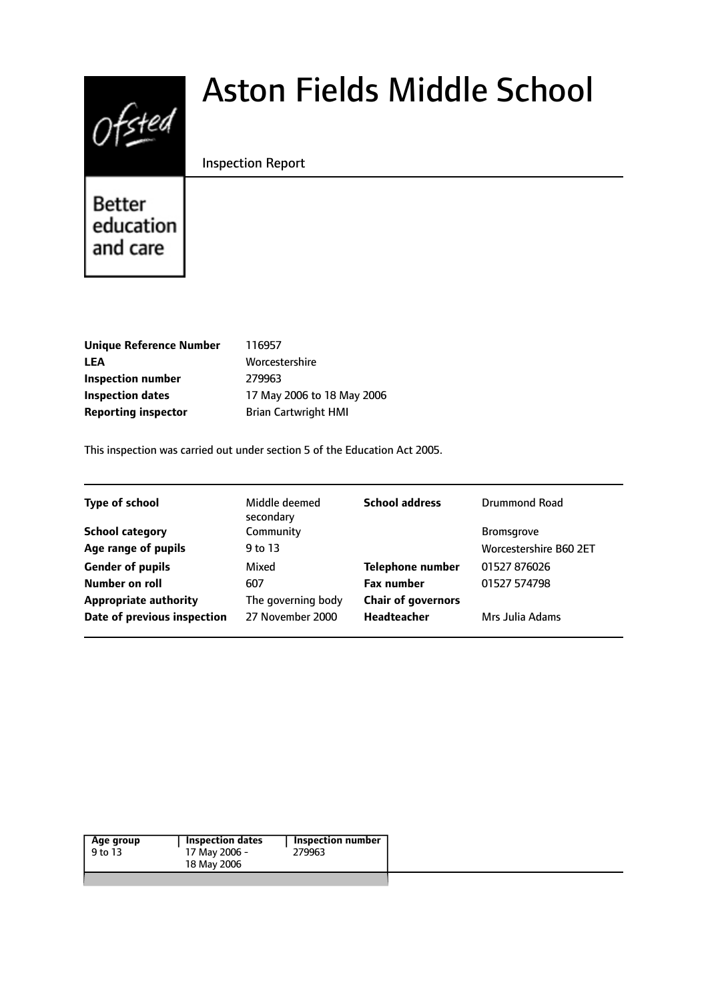# $0$ fsted

# Aston Fields Middle School

#### Inspection Report

Better education and care

| <b>Unique Reference Number</b> | 116957         |
|--------------------------------|----------------|
| <b>LEA</b>                     | <b>Worces</b>  |
| <b>Inspection number</b>       | 279963         |
| <b>Inspection dates</b>        | 17 May         |
| <b>Reporting inspector</b>     | <b>Brian C</b> |
|                                |                |

**B** 6957 **L**orcestershire **May 2006 to 18 May 2006 Reporting inspector** Brian Cartwright HMI

This inspection was carried out under section 5 of the Education Act 2005.

| <b>Type of school</b>        | Middle deemed<br>secondary | <b>School address</b>     | Drummond Road                 |
|------------------------------|----------------------------|---------------------------|-------------------------------|
| <b>School category</b>       | Community                  |                           | <b>Bromsgrove</b>             |
| Age range of pupils          | 9 to 13                    |                           | <b>Worcestershire B60 2ET</b> |
| <b>Gender of pupils</b>      | Mixed                      | <b>Telephone number</b>   | 01527 876026                  |
| Number on roll               | 607                        | <b>Fax number</b>         | 01527 574798                  |
| <b>Appropriate authority</b> | The governing body         | <b>Chair of governors</b> |                               |
| Date of previous inspection  | 27 November 2000           | <b>Headteacher</b>        | Mrs Julia Adams               |
|                              |                            |                           |                               |

|  | Inspection dates<br>Inspection number<br>Age group<br>279963<br>17 May 2006 -<br>18 May 2006 |
|--|----------------------------------------------------------------------------------------------|
|--|----------------------------------------------------------------------------------------------|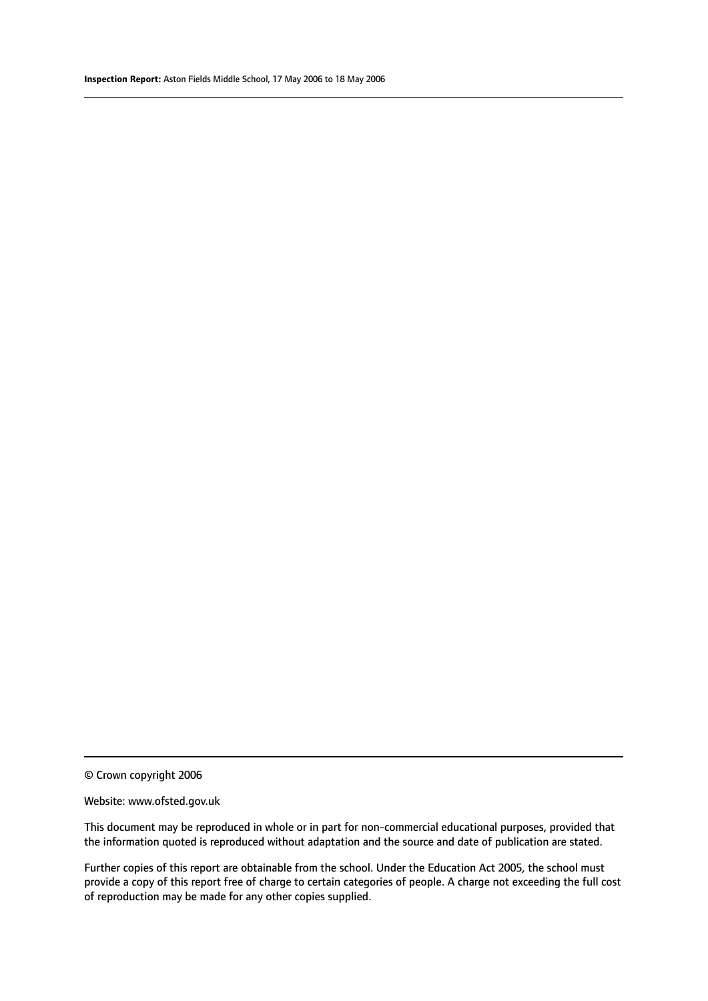© Crown copyright 2006

#### Website: www.ofsted.gov.uk

This document may be reproduced in whole or in part for non-commercial educational purposes, provided that the information quoted is reproduced without adaptation and the source and date of publication are stated.

Further copies of this report are obtainable from the school. Under the Education Act 2005, the school must provide a copy of this report free of charge to certain categories of people. A charge not exceeding the full cost of reproduction may be made for any other copies supplied.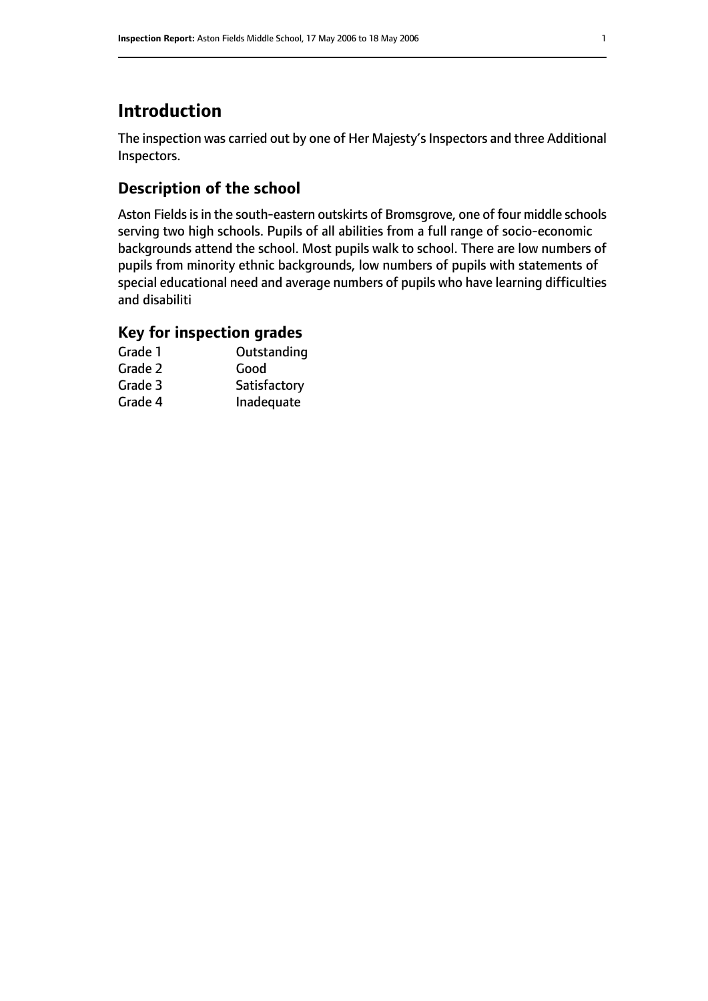# **Introduction**

The inspection was carried out by one of Her Majesty's Inspectors and three Additional Inspectors.

# **Description of the school**

Aston Fields is in the south-eastern outskirts of Bromsgrove, one of four middle schools serving two high schools. Pupils of all abilities from a full range of socio-economic backgrounds attend the school. Most pupils walk to school. There are low numbers of pupils from minority ethnic backgrounds, low numbers of pupils with statements of special educational need and average numbers of pupils who have learning difficulties and disabiliti

### **Key for inspection grades**

| Grade 1 | Outstanding  |
|---------|--------------|
| Grade 2 | Good         |
| Grade 3 | Satisfactory |
| Grade 4 | Inadequate   |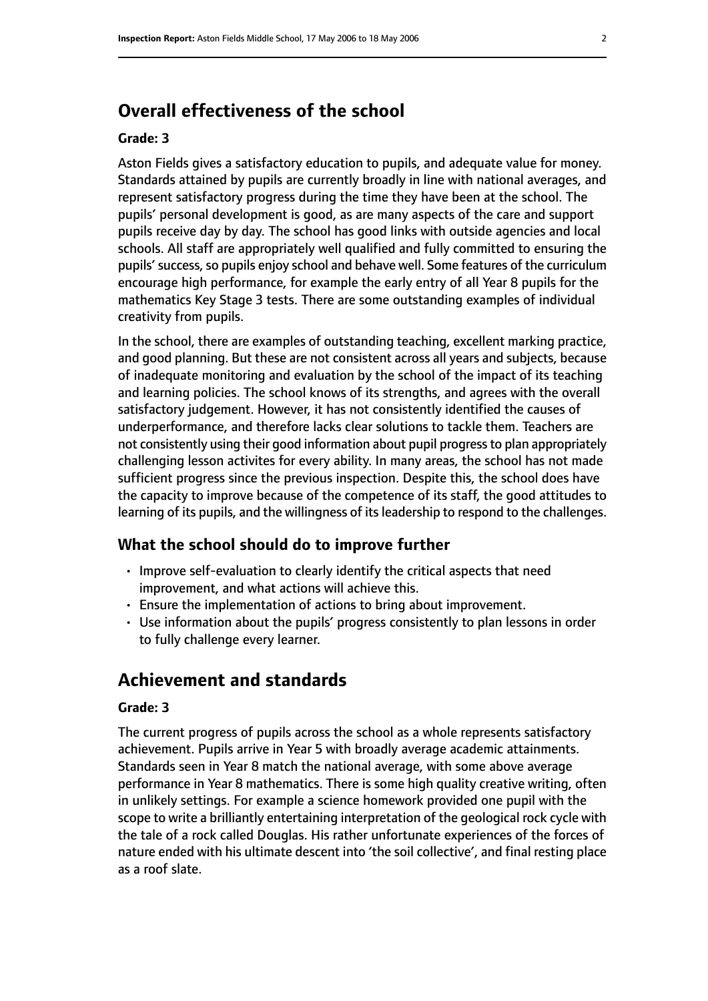# **Overall effectiveness of the school**

#### **Grade: 3**

Aston Fields gives a satisfactory education to pupils, and adequate value for money. Standards attained by pupils are currently broadly in line with national averages, and represent satisfactory progress during the time they have been at the school. The pupils' personal development is good, as are many aspects of the care and support pupils receive day by day. The school has good links with outside agencies and local schools. All staff are appropriately well qualified and fully committed to ensuring the pupils' success, so pupils enjoy school and behave well. Some features of the curriculum encourage high performance, for example the early entry of all Year 8 pupils for the mathematics Key Stage 3 tests. There are some outstanding examples of individual creativity from pupils.

In the school, there are examples of outstanding teaching, excellent marking practice, and good planning. But these are not consistent across all years and subjects, because of inadequate monitoring and evaluation by the school of the impact of its teaching and learning policies. The school knows of its strengths, and agrees with the overall satisfactory judgement. However, it has not consistently identified the causes of underperformance, and therefore lacks clear solutions to tackle them. Teachers are not consistently using their good information about pupil progressto plan appropriately challenging lesson activites for every ability. In many areas, the school has not made sufficient progress since the previous inspection. Despite this, the school does have the capacity to improve because of the competence of its staff, the good attitudes to learning of its pupils, and the willingness of its leadership to respond to the challenges.

#### **What the school should do to improve further**

- Improve self-evaluation to clearly identify the critical aspects that need improvement, and what actions will achieve this.
- Ensure the implementation of actions to bring about improvement.
- Use information about the pupils' progress consistently to plan lessons in order to fully challenge every learner.

# **Achievement and standards**

#### **Grade: 3**

The current progress of pupils across the school as a whole represents satisfactory achievement. Pupils arrive in Year 5 with broadly average academic attainments. Standards seen in Year 8 match the national average, with some above average performance in Year 8 mathematics. There is some high quality creative writing, often in unlikely settings. For example a science homework provided one pupil with the scope to write a brilliantly entertaining interpretation of the geological rock cycle with the tale of a rock called Douglas. His rather unfortunate experiences of the forces of nature ended with his ultimate descent into 'the soil collective', and final resting place as a roof slate.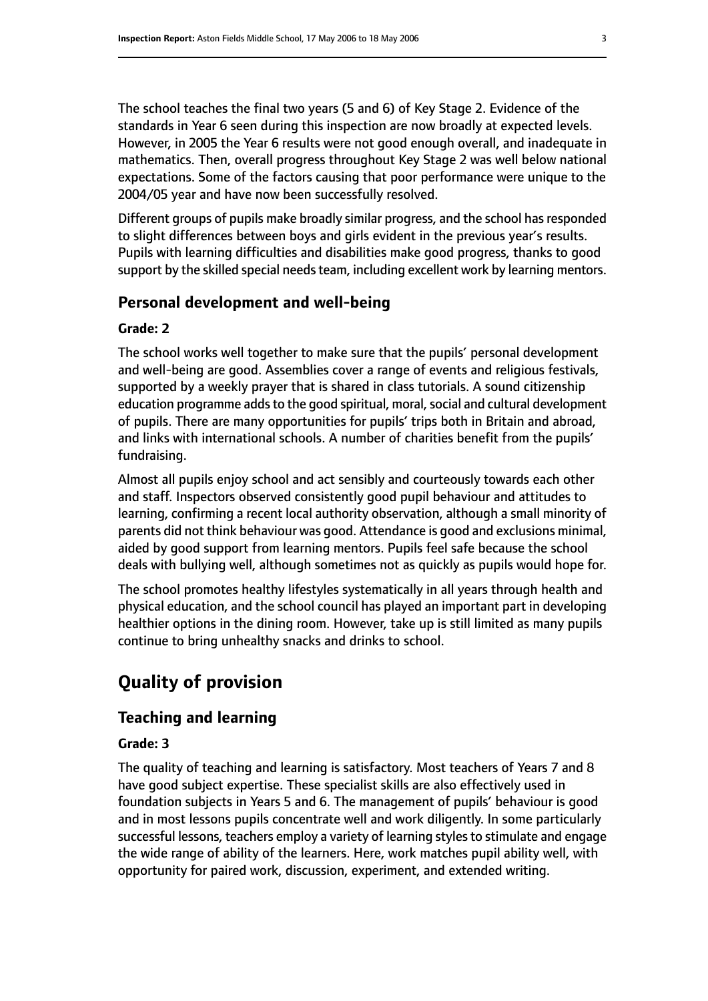The school teaches the final two years (5 and 6) of Key Stage 2. Evidence of the standards in Year 6 seen during this inspection are now broadly at expected levels. However, in 2005 the Year 6 results were not good enough overall, and inadequate in mathematics. Then, overall progress throughout Key Stage 2 was well below national expectations. Some of the factors causing that poor performance were unique to the 2004/05 year and have now been successfully resolved.

Different groups of pupils make broadly similar progress, and the school hasresponded to slight differences between boys and girls evident in the previous year's results. Pupils with learning difficulties and disabilities make good progress, thanks to good support by the skilled special needs team, including excellent work by learning mentors.

#### **Personal development and well-being**

#### **Grade: 2**

The school works well together to make sure that the pupils' personal development and well-being are good. Assemblies cover a range of events and religious festivals, supported by a weekly prayer that is shared in class tutorials. A sound citizenship education programme adds to the good spiritual, moral, social and cultural development of pupils. There are many opportunities for pupils' trips both in Britain and abroad, and links with international schools. A number of charities benefit from the pupils' fundraising.

Almost all pupils enjoy school and act sensibly and courteously towards each other and staff. Inspectors observed consistently good pupil behaviour and attitudes to learning, confirming a recent local authority observation, although a small minority of parents did not think behaviour was good. Attendance is good and exclusions minimal, aided by good support from learning mentors. Pupils feel safe because the school deals with bullying well, although sometimes not as quickly as pupils would hope for.

The school promotes healthy lifestyles systematically in all years through health and physical education, and the school council has played an important part in developing healthier options in the dining room. However, take up is still limited as many pupils continue to bring unhealthy snacks and drinks to school.

# **Quality of provision**

#### **Teaching and learning**

#### **Grade: 3**

The quality of teaching and learning is satisfactory. Most teachers of Years 7 and 8 have good subject expertise. These specialist skills are also effectively used in foundation subjects in Years 5 and 6. The management of pupils' behaviour is good and in most lessons pupils concentrate well and work diligently. In some particularly successful lessons, teachers employ a variety of learning styles to stimulate and engage the wide range of ability of the learners. Here, work matches pupil ability well, with opportunity for paired work, discussion, experiment, and extended writing.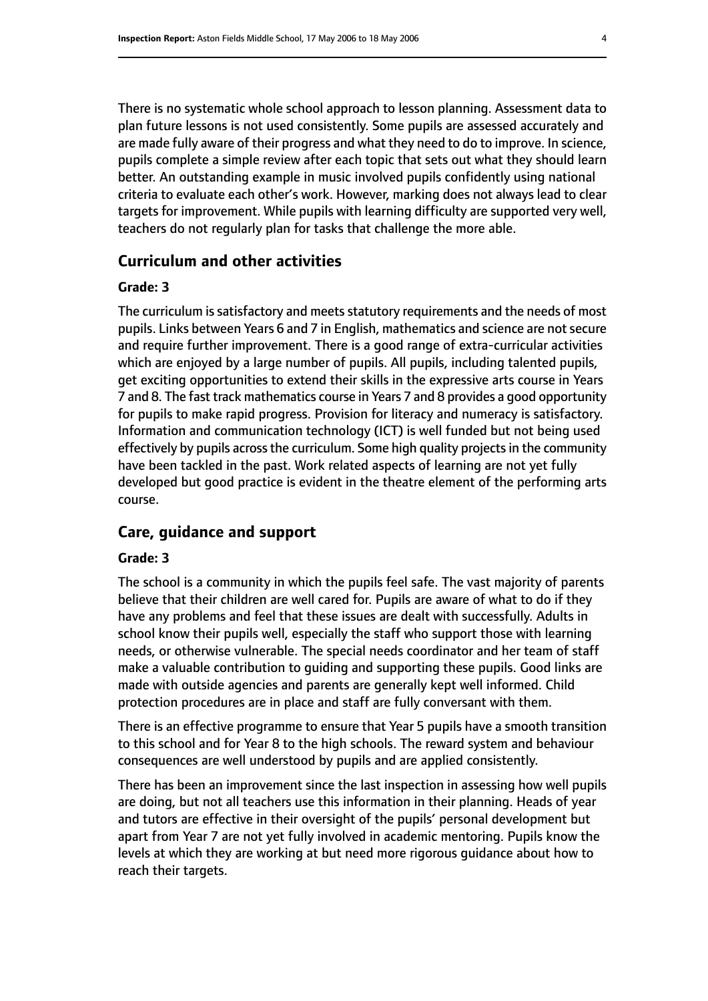There is no systematic whole school approach to lesson planning. Assessment data to plan future lessons is not used consistently. Some pupils are assessed accurately and are made fully aware of their progress and what they need to do to improve. In science, pupils complete a simple review after each topic that sets out what they should learn better. An outstanding example in music involved pupils confidently using national criteria to evaluate each other's work. However, marking does not always lead to clear targets for improvement. While pupils with learning difficulty are supported very well, teachers do not regularly plan for tasks that challenge the more able.

#### **Curriculum and other activities**

#### **Grade: 3**

The curriculum is satisfactory and meets statutory requirements and the needs of most pupils. Links between Years 6 and 7 in English, mathematics and science are not secure and require further improvement. There is a good range of extra-curricular activities which are enjoyed by a large number of pupils. All pupils, including talented pupils, get exciting opportunities to extend their skills in the expressive arts course in Years 7 and 8. The fast track mathematics course in Years 7 and 8 provides a good opportunity for pupils to make rapid progress. Provision for literacy and numeracy is satisfactory. Information and communication technology (ICT) is well funded but not being used effectively by pupils across the curriculum. Some high quality projects in the community have been tackled in the past. Work related aspects of learning are not yet fully developed but good practice is evident in the theatre element of the performing arts course.

#### **Care, guidance and support**

#### **Grade: 3**

The school is a community in which the pupils feel safe. The vast majority of parents believe that their children are well cared for. Pupils are aware of what to do if they have any problems and feel that these issues are dealt with successfully. Adults in school know their pupils well, especially the staff who support those with learning needs, or otherwise vulnerable. The special needs coordinator and her team of staff make a valuable contribution to guiding and supporting these pupils. Good links are made with outside agencies and parents are generally kept well informed. Child protection procedures are in place and staff are fully conversant with them.

There is an effective programme to ensure that Year 5 pupils have a smooth transition to this school and for Year 8 to the high schools. The reward system and behaviour consequences are well understood by pupils and are applied consistently.

There has been an improvement since the last inspection in assessing how well pupils are doing, but not all teachers use this information in their planning. Heads of year and tutors are effective in their oversight of the pupils' personal development but apart from Year 7 are not yet fully involved in academic mentoring. Pupils know the levels at which they are working at but need more rigorous guidance about how to reach their targets.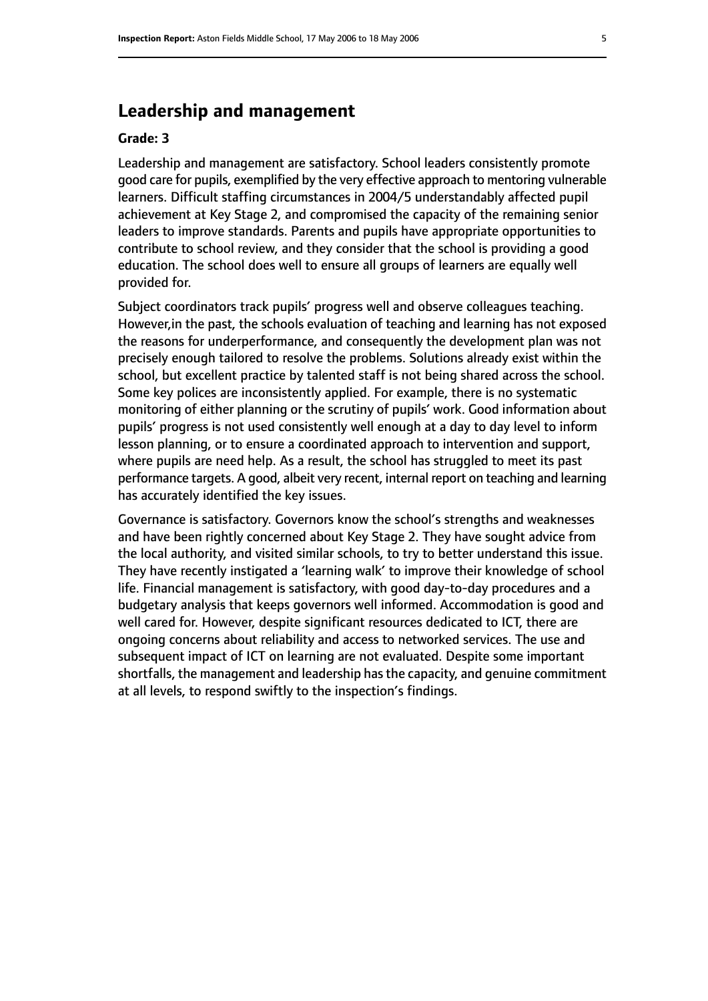# **Leadership and management**

#### **Grade: 3**

Leadership and management are satisfactory. School leaders consistently promote good care for pupils, exemplified by the very effective approach to mentoring vulnerable learners. Difficult staffing circumstances in 2004/5 understandably affected pupil achievement at Key Stage 2, and compromised the capacity of the remaining senior leaders to improve standards. Parents and pupils have appropriate opportunities to contribute to school review, and they consider that the school is providing a good education. The school does well to ensure all groups of learners are equally well provided for.

Subject coordinators track pupils' progress well and observe colleagues teaching. However,in the past, the schools evaluation of teaching and learning has not exposed the reasons for underperformance, and consequently the development plan was not precisely enough tailored to resolve the problems. Solutions already exist within the school, but excellent practice by talented staff is not being shared across the school. Some key polices are inconsistently applied. For example, there is no systematic monitoring of either planning or the scrutiny of pupils' work. Good information about pupils' progress is not used consistently well enough at a day to day level to inform lesson planning, or to ensure a coordinated approach to intervention and support, where pupils are need help. As a result, the school has struggled to meet its past performance targets. A good, albeit very recent, internal report on teaching and learning has accurately identified the key issues.

Governance is satisfactory. Governors know the school's strengths and weaknesses and have been rightly concerned about Key Stage 2. They have sought advice from the local authority, and visited similar schools, to try to better understand this issue. They have recently instigated a 'learning walk' to improve their knowledge of school life. Financial management is satisfactory, with good day-to-day procedures and a budgetary analysis that keeps governors well informed. Accommodation is good and well cared for. However, despite significant resources dedicated to ICT, there are ongoing concerns about reliability and access to networked services. The use and subsequent impact of ICT on learning are not evaluated. Despite some important shortfalls, the management and leadership has the capacity, and genuine commitment at all levels, to respond swiftly to the inspection's findings.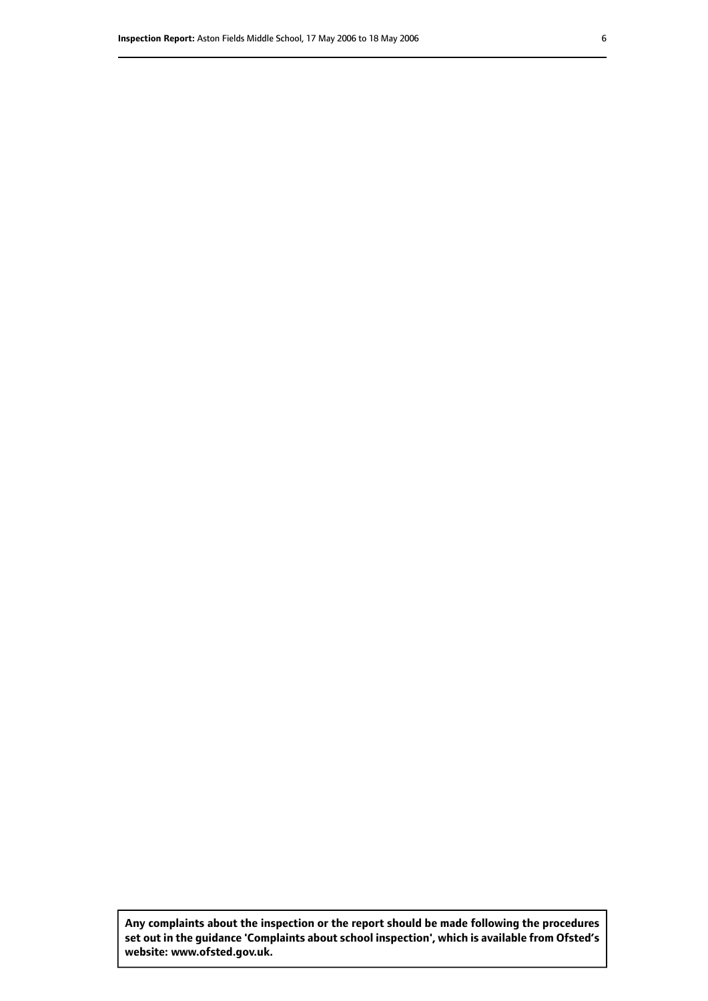**Any complaints about the inspection or the report should be made following the procedures set out inthe guidance 'Complaints about school inspection', whichis available from Ofsted's website: www.ofsted.gov.uk.**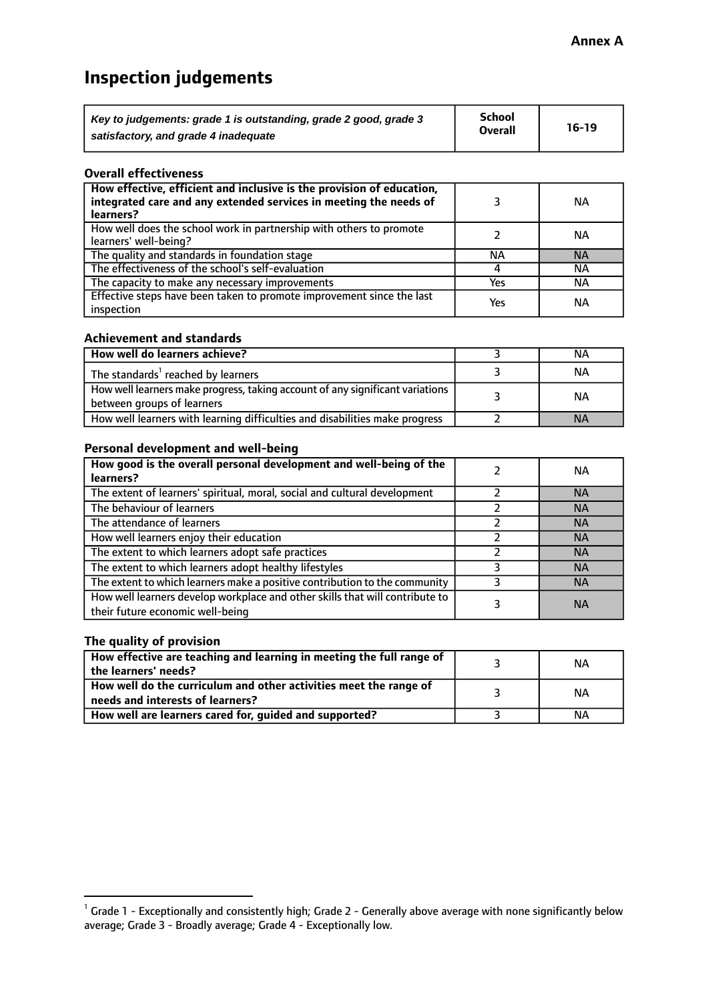# **Inspection judgements**

| Key to judgements: grade 1 is outstanding, grade 2 good, grade 3 | School<br><b>Overall</b> | $16-19$ |
|------------------------------------------------------------------|--------------------------|---------|
| satisfactory, and grade 4 inadequate                             |                          |         |

#### **Overall effectiveness**

| How effective, efficient and inclusive is the provision of education,<br>integrated care and any extended services in meeting the needs of<br>learners? |     | NА        |
|---------------------------------------------------------------------------------------------------------------------------------------------------------|-----|-----------|
| How well does the school work in partnership with others to promote<br>learners' well-being?                                                            |     | NА        |
| The quality and standards in foundation stage                                                                                                           | ΝA  | <b>NA</b> |
| The effectiveness of the school's self-evaluation                                                                                                       |     | ΝA        |
| The capacity to make any necessary improvements                                                                                                         | Yes | NА        |
| Effective steps have been taken to promote improvement since the last<br>inspection                                                                     | Yes | ΝA        |

#### **Achievement and standards**

| How well do learners achieve?                                                                               | ΝA        |
|-------------------------------------------------------------------------------------------------------------|-----------|
| The standards <sup>1</sup> reached by learners                                                              | NА        |
| How well learners make progress, taking account of any significant variations<br>between groups of learners | <b>NA</b> |
| How well learners with learning difficulties and disabilities make progress                                 | <b>NA</b> |

#### **Personal development and well-being**

| How good is the overall personal development and well-being of the<br>learners?                                  | ΝA        |
|------------------------------------------------------------------------------------------------------------------|-----------|
|                                                                                                                  |           |
| The extent of learners' spiritual, moral, social and cultural development                                        | <b>NA</b> |
| The behaviour of learners                                                                                        | <b>NA</b> |
| The attendance of learners                                                                                       | <b>NA</b> |
| How well learners enjoy their education                                                                          | <b>NA</b> |
| The extent to which learners adopt safe practices                                                                | <b>NA</b> |
| The extent to which learners adopt healthy lifestyles                                                            | <b>NA</b> |
| The extent to which learners make a positive contribution to the community                                       | <b>NA</b> |
| How well learners develop workplace and other skills that will contribute to<br>their future economic well-being | <b>NA</b> |

#### **The quality of provision**

| How effective are teaching and learning in meeting the full range of<br>the learners' needs?          | ΝA |
|-------------------------------------------------------------------------------------------------------|----|
| How well do the curriculum and other activities meet the range of<br>needs and interests of learners? | NА |
| How well are learners cared for, guided and supported?                                                | NА |

 $^1$  Grade 1 - Exceptionally and consistently high; Grade 2 - Generally above average with none significantly below average; Grade 3 - Broadly average; Grade 4 - Exceptionally low.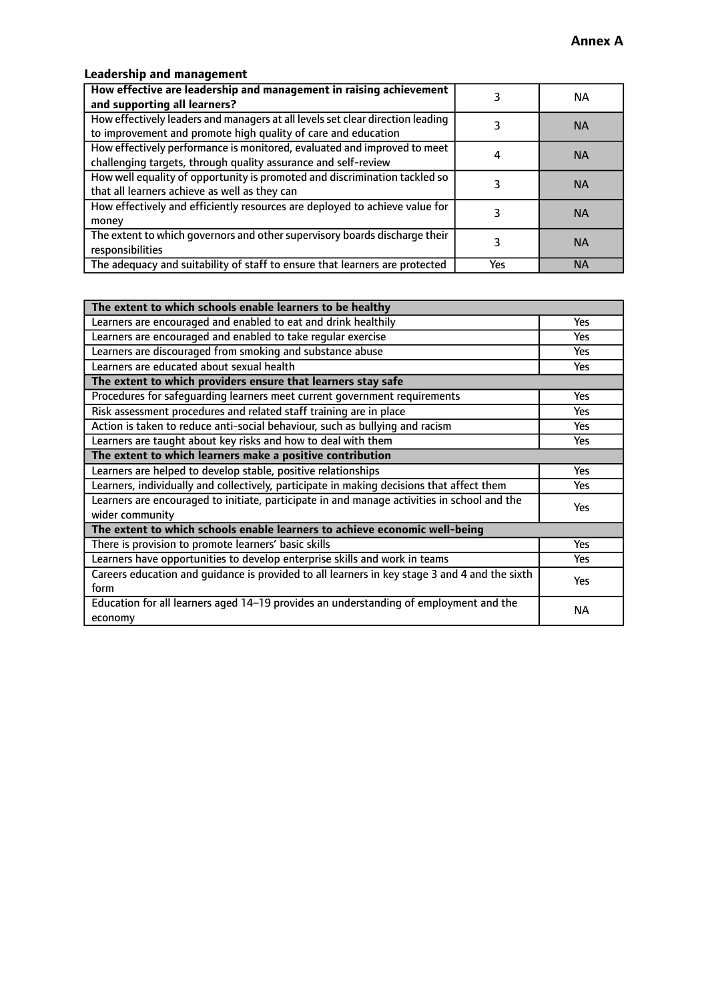# **Leadership and management**

| How effective are leadership and management in raising achievement<br>and supporting all learners?                                              |     | NA.       |
|-------------------------------------------------------------------------------------------------------------------------------------------------|-----|-----------|
| How effectively leaders and managers at all levels set clear direction leading<br>to improvement and promote high quality of care and education |     | <b>NA</b> |
| How effectively performance is monitored, evaluated and improved to meet<br>challenging targets, through quality assurance and self-review      |     | <b>NA</b> |
| How well equality of opportunity is promoted and discrimination tackled so<br>that all learners achieve as well as they can                     |     | <b>NA</b> |
| How effectively and efficiently resources are deployed to achieve value for<br>money                                                            |     | <b>NA</b> |
| The extent to which governors and other supervisory boards discharge their<br>responsibilities                                                  |     | <b>NA</b> |
| The adequacy and suitability of staff to ensure that learners are protected                                                                     | Yes | <b>NA</b> |

| The extent to which schools enable learners to be healthy                                     |            |  |
|-----------------------------------------------------------------------------------------------|------------|--|
| Learners are encouraged and enabled to eat and drink healthily                                | Yes        |  |
| Learners are encouraged and enabled to take regular exercise                                  | <b>Yes</b> |  |
| Learners are discouraged from smoking and substance abuse                                     | Yes        |  |
| Learners are educated about sexual health                                                     | Yes        |  |
| The extent to which providers ensure that learners stay safe                                  |            |  |
| Procedures for safequarding learners meet current government requirements                     | Yes        |  |
| Risk assessment procedures and related staff training are in place                            | <b>Yes</b> |  |
| Action is taken to reduce anti-social behaviour, such as bullying and racism                  | <b>Yes</b> |  |
| Learners are taught about key risks and how to deal with them                                 | Yes        |  |
| The extent to which learners make a positive contribution                                     |            |  |
| Learners are helped to develop stable, positive relationships                                 | Yes        |  |
| Learners, individually and collectively, participate in making decisions that affect them     | Yes        |  |
| Learners are encouraged to initiate, participate in and manage activities in school and the   | <b>Yes</b> |  |
| wider community                                                                               |            |  |
| The extent to which schools enable learners to achieve economic well-being                    |            |  |
| There is provision to promote learners' basic skills                                          | Yes        |  |
| Learners have opportunities to develop enterprise skills and work in teams                    | Yes        |  |
| Careers education and guidance is provided to all learners in key stage 3 and 4 and the sixth | Yes        |  |
| form                                                                                          |            |  |
| Education for all learners aged 14-19 provides an understanding of employment and the         | NА         |  |
| economy                                                                                       |            |  |